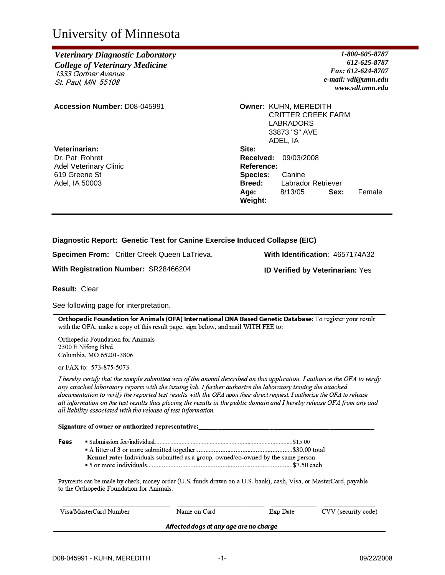# University of Minnesota

## *Veterinary Diagnostic Laboratory College of Veterinary Medicine* 1333 Gortner Avenue St. Paul, MN 55108

**Accession Number:** D08-045991 **Owner:** KUHN, MEREDITH

**Veterinarian:** Dr. Pat Rohret Adel Veterinary Clinic 619 Greene St Adel, IA 50003

*1-800-605-8787 612-625-8787 Fax: 612-624-8707 e-mail: vdl@umn.edu www.vdl.umn.edu*

CRITTER CREEK FARM LABRADORS 33873 "S" AVE ADEL, IA **Site: Received:** 09/03/2008 **Reference: Species:** Canine **Breed:** Labrador Retriever **Age:** 8/13/05 **Sex:** Female **Weight:** 

### **Diagnostic Report: Genetic Test for Canine Exercise Induced Collapse (EIC)**

**Specimen From:** Critter Creek Queen LaTrieva. **With Identification**: 4657174A32

**With Registration Number:** SR28466204 **ID Verified by Veterinarian:** Yes

**Result:** Clear

See following page for interpretation.

Orthopedic Foundation for Animals (OFA) International DNA Based Genetic Database: To register your result with the OFA, make a copy of this result page, sign below, and mail WITH FEE to: Orthopedic Foundation for Animals

2300 E Nifong Blvd Columbia, MO 65201-3806

or FAX to: 573-875-5073

I hereby certify that the sample submitted was of the animal described on this application. I authorize the OFA to verify any attached laboratory reports with the issuing lab. I further authorize the laboratory issuing the attached documentation to verify the reported test results with the OFA upon their direct request. I authorize the OFA to release all information on the test results thus placing the results in the public domain and I hereby release OFA from any and all liability associated with the release of test information.

Signature of owner or authorized representative:

| Fees |                                                                                  |  |
|------|----------------------------------------------------------------------------------|--|
|      |                                                                                  |  |
|      | Kennel rate: Individuals submitted as a group, owned/co-owned by the same person |  |
|      |                                                                                  |  |

Payments can be made by check, money order (U.S. funds drawn on a U.S. bank), cash, Visa, or MasterCard, payable to the Orthopedic Foundation for Animals.

| Visa/MasterCard Number                 | Name on Card | Exp Date | CVV (security code) |  |  |
|----------------------------------------|--------------|----------|---------------------|--|--|
| Affected dogs at any age are no charge |              |          |                     |  |  |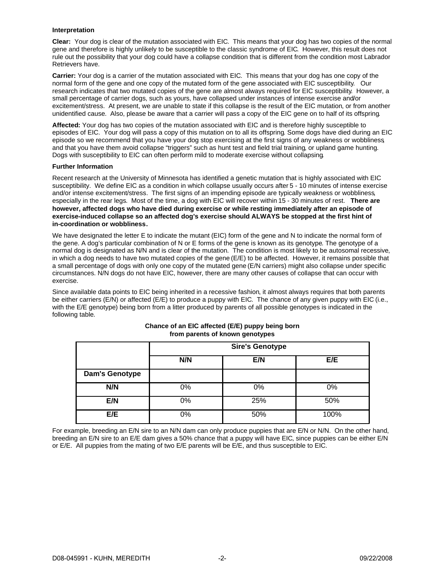#### **Interpretation**

**Clear:** Your dog is clear of the mutation associated with EIC. This means that your dog has two copies of the normal gene and therefore is highly unlikely to be susceptible to the classic syndrome of EIC. However, this result does not rule out the possibility that your dog could have a collapse condition that is different from the condition most Labrador Retrievers have.

**Carrier:** Your dog is a carrier of the mutation associated with EIC. This means that your dog has one copy of the normal form of the gene and one copy of the mutated form of the gene associated with EIC susceptibility. Our research indicates that two mutated copies of the gene are almost always required for EIC susceptibility. However, a small percentage of carrier dogs, such as yours, have collapsed under instances of intense exercise and/or excitement/stress. At present, we are unable to state if this collapse is the result of the EIC mutation, or from another unidentified cause. Also, please be aware that a carrier will pass a copy of the EIC gene on to half of its offspring.

**Affected:** Your dog has two copies of the mutation associated with EIC and is therefore highly susceptible to episodes of EIC. Your dog will pass a copy of this mutation on to all its offspring. Some dogs have died during an EIC episode so we recommend that you have your dog stop exercising at the first signs of any weakness or wobbliness, and that you have them avoid collapse "triggers" such as hunt test and field trial training, or upland game hunting. Dogs with susceptibility to EIC can often perform mild to moderate exercise without collapsing.

#### **Further Information**

Recent research at the University of Minnesota has identified a genetic mutation that is highly associated with EIC susceptibility. We define EIC as a condition in which collapse usually occurs after 5 - 10 minutes of intense exercise and/or intense excitement/stress. The first signs of an impending episode are typically weakness or wobbliness, especially in the rear legs. Most of the time, a dog with EIC will recover within 15 - 30 minutes of rest. **There are however, affected dogs who have died during exercise or while resting immediately after an episode of exercise-induced collapse so an affected dog's exercise should ALWAYS be stopped at the first hint of in-coordination or wobbliness.** 

We have designated the letter E to indicate the mutant (EIC) form of the gene and N to indicate the normal form of the gene. A dog's particular combination of N or E forms of the gene is known as its genotype. The genotype of a normal dog is designated as N/N and is clear of the mutation. The condition is most likely to be autosomal recessive, in which a dog needs to have two mutated copies of the gene (E/E) to be affected. However, it remains possible that a small percentage of dogs with only one copy of the mutated gene (E/N carriers) might also collapse under specific circumstances. N/N dogs do not have EIC, however, there are many other causes of collapse that can occur with exercise.

Since available data points to EIC being inherited in a recessive fashion, it almost always requires that both parents be either carriers (E/N) or affected (E/E) to produce a puppy with EIC. The chance of any given puppy with EIC (i.e., with the E/E genotype) being born from a litter produced by parents of all possible genotypes is indicated in the following table.

|                       | <b>Sire's Genotype</b> |     |      |
|-----------------------|------------------------|-----|------|
|                       | N/N                    | E/N | E/E  |
| <b>Dam's Genotype</b> |                        |     |      |
| N/N                   | 0%                     | 0%  | 0%   |
| E/N                   | 0%                     | 25% | 50%  |
| E/E                   | 0%                     | 50% | 100% |

#### **Chance of an EIC affected (E/E) puppy being born from parents of known genotypes**

For example, breeding an E/N sire to an N/N dam can only produce puppies that are E/N or N/N. On the other hand, breeding an E/N sire to an E/E dam gives a 50% chance that a puppy will have EIC, since puppies can be either E/N or E/E. All puppies from the mating of two E/E parents will be E/E, and thus susceptible to EIC.